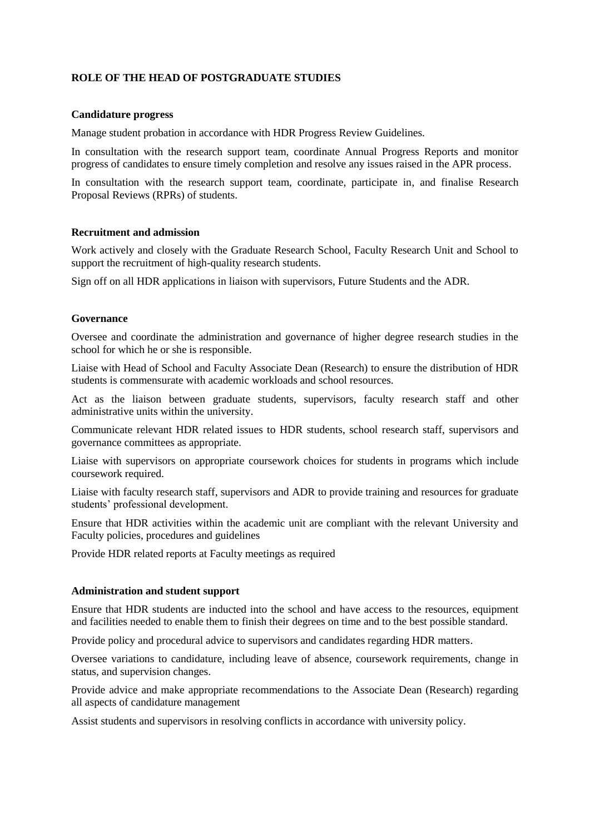# **ROLE OF THE HEAD OF POSTGRADUATE STUDIES**

## **Candidature progress**

Manage student probation in accordance with HDR Progress Review Guidelines.

In consultation with the research support team, coordinate Annual Progress Reports and monitor progress of candidates to ensure timely completion and resolve any issues raised in the APR process.

In consultation with the research support team, coordinate, participate in, and finalise Research Proposal Reviews (RPRs) of students.

## **Recruitment and admission**

Work actively and closely with the Graduate Research School, Faculty Research Unit and School to support the recruitment of high-quality research students.

Sign off on all HDR applications in liaison with supervisors, Future Students and the ADR.

### **Governance**

Oversee and coordinate the administration and governance of higher degree research studies in the school for which he or she is responsible.

Liaise with Head of School and Faculty Associate Dean (Research) to ensure the distribution of HDR students is commensurate with academic workloads and school resources.

Act as the liaison between graduate students, supervisors, faculty research staff and other administrative units within the university.

Communicate relevant HDR related issues to HDR students, school research staff, supervisors and governance committees as appropriate.

Liaise with supervisors on appropriate coursework choices for students in programs which include coursework required.

Liaise with faculty research staff, supervisors and ADR to provide training and resources for graduate students' professional development.

Ensure that HDR activities within the academic unit are compliant with the relevant University and Faculty policies, procedures and guidelines

Provide HDR related reports at Faculty meetings as required

#### **Administration and student support**

Ensure that HDR students are inducted into the school and have access to the resources, equipment and facilities needed to enable them to finish their degrees on time and to the best possible standard.

Provide policy and procedural advice to supervisors and candidates regarding HDR matters.

Oversee variations to candidature, including leave of absence, coursework requirements, change in status, and supervision changes.

Provide advice and make appropriate recommendations to the Associate Dean (Research) regarding all aspects of candidature management

Assist students and supervisors in resolving conflicts in accordance with university policy.